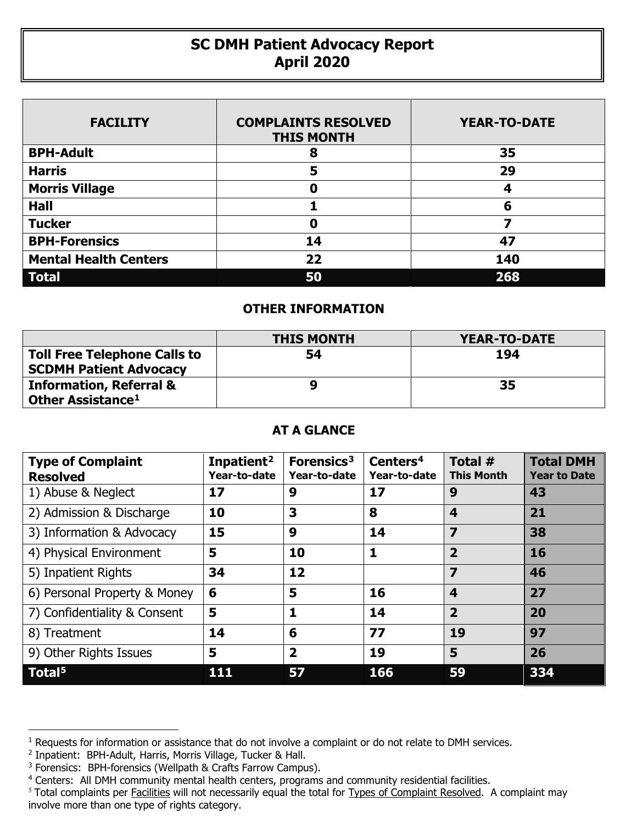## **SC DMH Patient Advocacy Report April 2020**

| <b>FACILITY</b>              | <b>COMPLAINTS RESOLVED</b><br><b>THIS MONTH</b> | <b>YEAR-TO-DATE</b> |
|------------------------------|-------------------------------------------------|---------------------|
| <b>BPH-Adult</b>             | 8                                               | 35                  |
| <b>Harris</b>                | 5                                               | 29                  |
| <b>Morris Village</b>        | Ω                                               | 4                   |
| <b>Hall</b>                  |                                                 | 6                   |
| <b>Tucker</b>                | 0                                               | 7                   |
| <b>BPH-Forensics</b>         | 14                                              | 47                  |
| <b>Mental Health Centers</b> | 22                                              | 140                 |
| <b>Total</b>                 | 50                                              | 268                 |

## **OTHER INFORMATION**

|                                                                           | <b>THIS MONTH</b> | <b>YEAR-TO-DATE</b> |  |  |
|---------------------------------------------------------------------------|-------------------|---------------------|--|--|
| <b>Toll Free Telephone Calls to</b><br><b>SCDMH Patient Advocacy</b>      | 54                | 194                 |  |  |
| <b>Information, Referral &amp;</b><br><b>Other Assistance<sup>1</sup></b> |                   | 35                  |  |  |

## **AT A GLANCE**

| <b>Type of Complaint</b><br><b>Resolved</b> | Inpatient <sup>2</sup><br>Year-to-date | Forensics <sup>3</sup><br>Year-to-date | Centers <sup>4</sup><br>Year-to-date | Total #<br><b>This Month</b> | <b>Total DMH</b><br><b>Year to Date</b> |
|---------------------------------------------|----------------------------------------|----------------------------------------|--------------------------------------|------------------------------|-----------------------------------------|
| 1) Abuse & Neglect                          | 17                                     | 9                                      | 17                                   | 9                            | 43                                      |
| 2) Admission & Discharge                    | 10                                     | 3                                      | 8                                    | 4                            | 21                                      |
| 3) Information & Advocacy                   | 15                                     | 9                                      | 14                                   | $\overline{\mathbf{z}}$      | 38                                      |
| 4) Physical Environment                     | 5                                      | 10                                     | 1                                    | 2                            | 16                                      |
| 5) Inpatient Rights                         | 34                                     | 12                                     |                                      | 7                            | 46                                      |
| 6) Personal Property & Money                | 6                                      | 5                                      | 16                                   | $\overline{\mathbf{4}}$      | 27                                      |
| 7) Confidentiality & Consent                | 5                                      | 1                                      | 14                                   | $\overline{2}$               | 20                                      |
| 8) Treatment                                | 14                                     | 6                                      | 77                                   | 19                           | 97                                      |
| 9) Other Rights Issues                      | 5                                      | $\overline{\mathbf{2}}$                | 19                                   | 5                            | 26                                      |
| Total <sup>5</sup>                          | 111                                    | 57                                     | 166                                  | 59                           | 334                                     |

 $\overline{a}$ 

<span id="page-0-0"></span><sup>&</sup>lt;sup>1</sup> Requests for information or assistance that do not involve a complaint or do not relate to DMH services.

<span id="page-0-1"></span><sup>2</sup> Inpatient: BPH-Adult, Harris, Morris Village, Tucker & Hall.

<span id="page-0-2"></span><sup>&</sup>lt;sup>3</sup> Forensics: BPH-forensics (Wellpath & Crafts Farrow Campus).

<span id="page-0-3"></span><sup>&</sup>lt;sup>4</sup> Centers: All DMH community mental health centers, programs and community residential facilities.

<span id="page-0-4"></span><sup>&</sup>lt;sup>5</sup> Total complaints per Facilities will not necessarily equal the total for Types of Complaint Resolved. A complaint may involve more than one type of rights category.